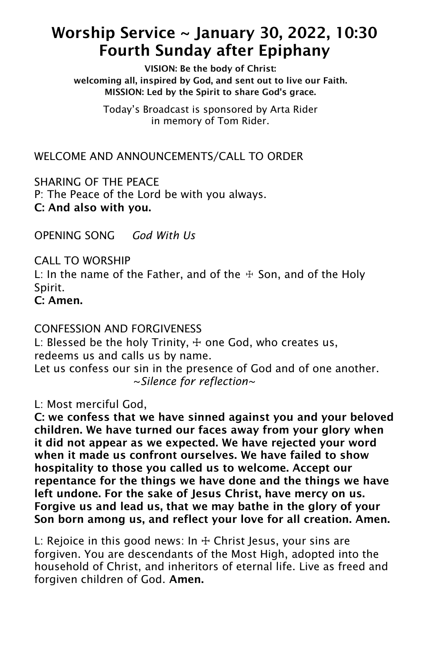## Worship Service ~ January 30, 2022, 10:30 Fourth Sunday after Epiphany

VISION: Be the body of Christ: welcoming all, inspired by God, and sent out to live our Faith. MISSION: Led by the Spirit to share God's grace.

> Today's Broadcast is sponsored by Arta Rider in memory of Tom Rider.

WELCOME AND ANNOUNCEMENTS/CALL TO ORDER

SHARING OF THE PEACE P: The Peace of the Lord be with you always. C: And also with you.

OPENING SONG *God With Us*

CALL TO WORSHIP L: In the name of the Father, and of the  $#$  Son, and of the Holy Spirit. C: Amen.

CONFESSION AND FORGIVENESS

L: Blessed be the holy Trinity,  $+$  one God, who creates us, redeems us and calls us by name. Let us confess our sin in the presence of God and of one another. ~*Silence for reflection~*

L: Most merciful God,

C: we confess that we have sinned against you and your beloved children. We have turned our faces away from your glory when it did not appear as we expected. We have rejected your word when it made us confront ourselves. We have failed to show hospitality to those you called us to welcome. Accept our repentance for the things we have done and the things we have left undone. For the sake of Jesus Christ, have mercy on us. Forgive us and lead us, that we may bathe in the glory of your Son born among us, and reflect your love for all creation. Amen.

L: Rejoice in this good news: In  $+$  Christ Jesus, your sins are forgiven. You are descendants of the Most High, adopted into the household of Christ, and inheritors of eternal life. Live as freed and forgiven children of God. Amen.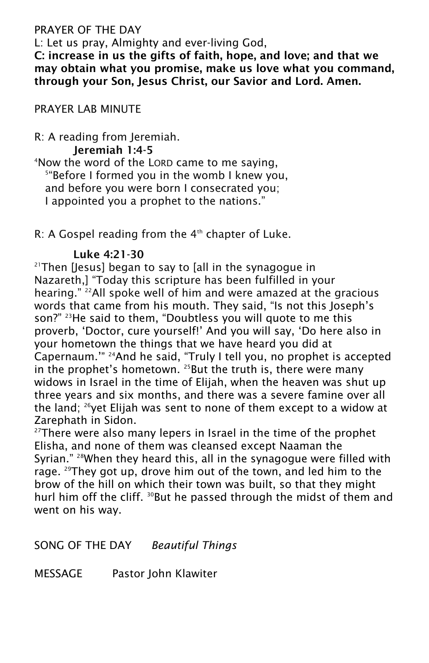## PRAYER OF THE DAY

L: Let us pray, Almighty and ever-living God,

C: increase in us the gifts of faith, hope, and love; and that we may obtain what you promise, make us love what you command, through your Son, Jesus Christ, our Savior and Lord. Amen.

PRAYER LAB MINUTE

R: A reading from Jeremiah.

Jeremiah 1:4-5

<sup>4</sup>Now the word of the LORD came to me saying, 5 "Before I formed you in the womb I knew you, and before you were born I consecrated you; I appointed you a prophet to the nations."

 $R$ : A Gospel reading from the  $4<sup>th</sup>$  chapter of Luke.

## Luke 4:21-30

 $21$ Then [Jesus] began to say to [all in the synagogue in Nazareth,] "Today this scripture has been fulfilled in your hearing." <sup>22</sup>All spoke well of him and were amazed at the gracious words that came from his mouth. They said, "Is not this Joseph's son?" <sup>23</sup>He said to them, "Doubtless you will quote to me this proverb, 'Doctor, cure yourself!' And you will say, 'Do here also in your hometown the things that we have heard you did at Capernaum.'" <sup>24</sup>And he said, "Truly I tell you, no prophet is accepted in the prophet's hometown.  $^{25}$ But the truth is, there were many widows in Israel in the time of Elijah, when the heaven was shut up three years and six months, and there was a severe famine over all the land;  $26$ yet Elijah was sent to none of them except to a widow at Zarephath in Sidon.

 $27$ There were also many lepers in Israel in the time of the prophet Elisha, and none of them was cleansed except Naaman the Syrian." <sup>28</sup>When they heard this, all in the synagogue were filled with rage. <sup>29</sup>They got up, drove him out of the town, and led him to the brow of the hill on which their town was built, so that they might hurl him off the cliff. <sup>30</sup>But he passed through the midst of them and went on his way.

SONG OF THE DAY *Beautiful Things*

MESSAGE Pastor John Klawiter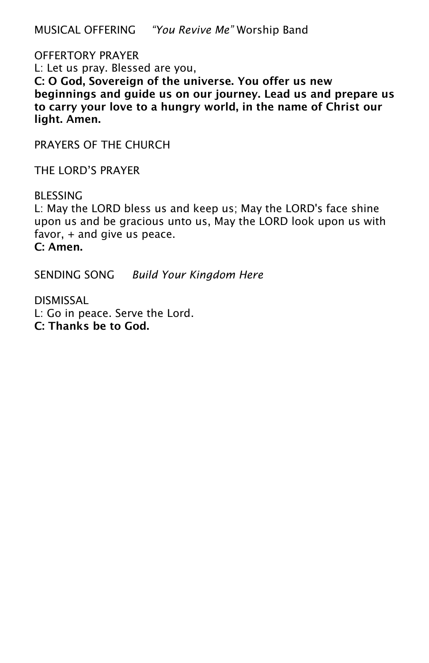MUSICAL OFFERING *"You Revive Me"* Worship Band

OFFERTORY PRAYER L: Let us pray. Blessed are you, C: O God, Sovereign of the universe. You offer us new beginnings and guide us on our journey. Lead us and prepare us to carry your love to a hungry world, in the name of Christ our light. Amen.

PRAYERS OF THE CHURCH

THE LORD'S PRAYER

**BLESSING** L: May the LORD bless us and keep us; May the LORD's face shine upon us and be gracious unto us, May the LORD look upon us with favor, + and give us peace. C: Amen.

SENDING SONG *Build Your Kingdom Here*

DISMISSAL L: Go in peace. Serve the Lord. C: Thanks be to God.